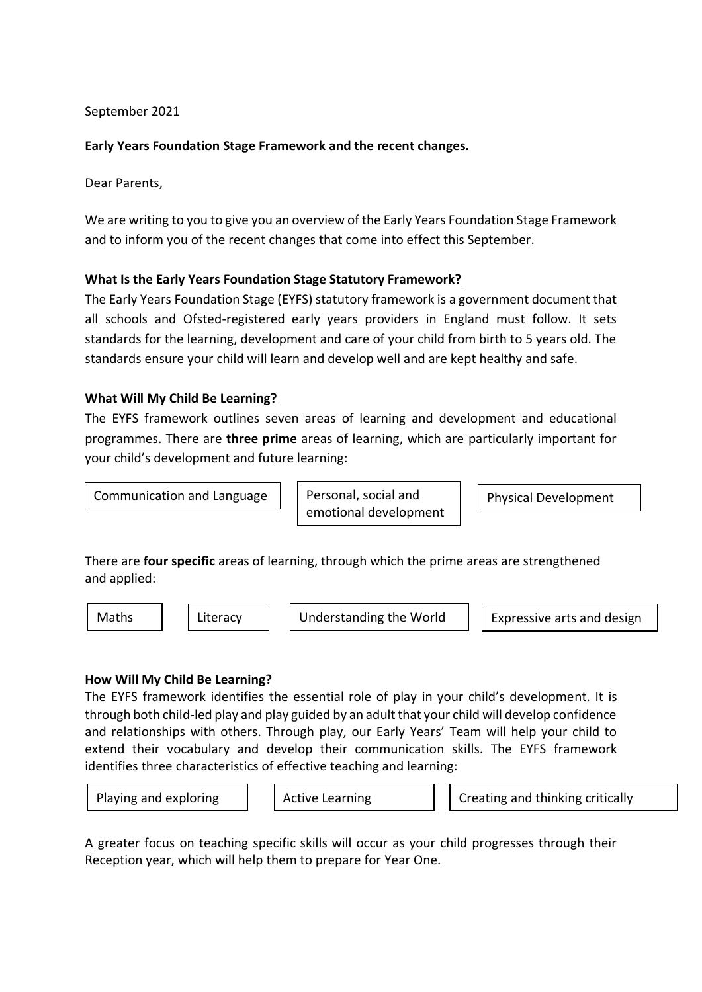September 2021

# **Early Years Foundation Stage Framework and the recent changes.**

Dear Parents,

We are writing to you to give you an overview of the Early Years Foundation Stage Framework and to inform you of the recent changes that come into effect this September.

## **What Is the Early Years Foundation Stage Statutory Framework?**

The Early Years Foundation Stage (EYFS) statutory framework is a government document that all schools and Ofsted-registered early years providers in England must follow. It sets standards for the learning, development and care of your child from birth to 5 years old. The standards ensure your child will learn and develop well and are kept healthy and safe.

## **What Will My Child Be Learning?**

The EYFS framework outlines seven areas of learning and development and educational programmes. There are **three prime** areas of learning, which are particularly important for your child's development and future learning:

Communication and Language  $\|\cdot\|$  Personal, social and

emotional development

Physical Development

There are **four specific** areas of learning, through which the prime areas are strengthened and applied:

Maths  $\parallel$  Literacy  $\parallel$  Understanding the World  $\parallel$  Expressive arts and design

#### **How Will My Child Be Learning?**

The EYFS framework identifies the essential role of play in your child's development. It is through both child-led play and play guided by an adult that your child will develop confidence and relationships with others. Through play, our Early Years' Team will help your child to extend their vocabulary and develop their communication skills. The EYFS framework identifies three characteristics of effective teaching and learning:

Playing and exploring Active Learning Creating and thinking critically

A greater focus on teaching specific skills will occur as your child progresses through their Reception year, which will help them to prepare for Year One.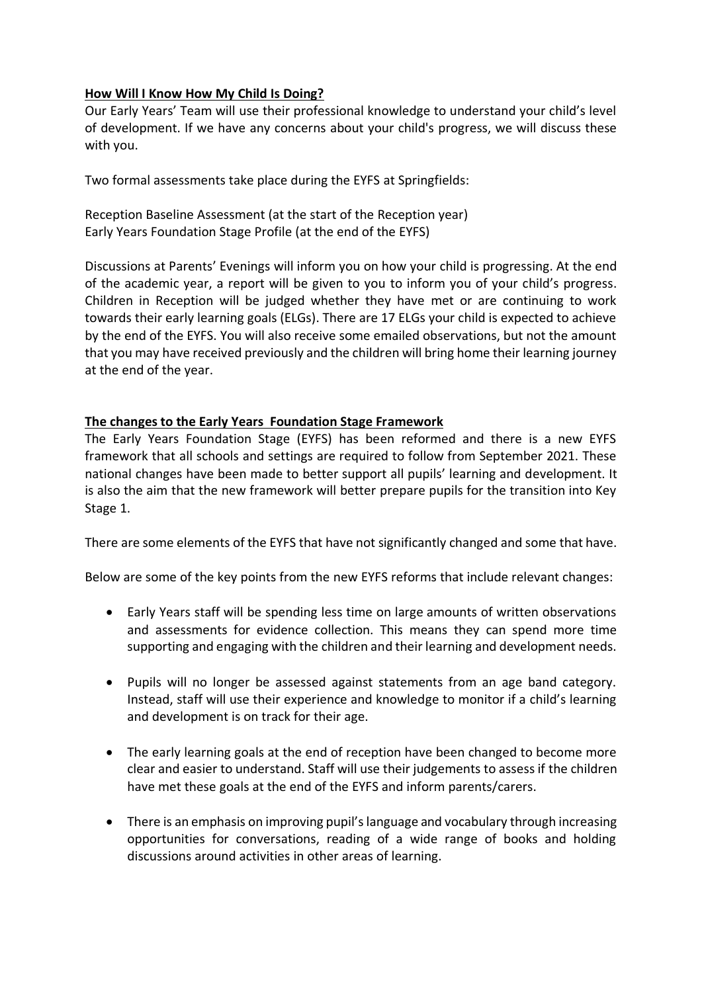# **How Will I Know How My Child Is Doing?**

Our Early Years' Team will use their professional knowledge to understand your child's level of development. If we have any concerns about your child's progress, we will discuss these with you.

Two formal assessments take place during the EYFS at Springfields:

Reception Baseline Assessment (at the start of the Reception year) Early Years Foundation Stage Profile (at the end of the EYFS)

Discussions at Parents' Evenings will inform you on how your child is progressing. At the end of the academic year, a report will be given to you to inform you of your child's progress. Children in Reception will be judged whether they have met or are continuing to work towards their early learning goals (ELGs). There are 17 ELGs your child is expected to achieve by the end of the EYFS. You will also receive some emailed observations, but not the amount that you may have received previously and the children will bring home their learning journey at the end of the year.

## **The changes to the Early Years Foundation Stage Framework**

The Early Years Foundation Stage (EYFS) has been reformed and there is a new EYFS framework that all schools and settings are required to follow from September 2021. These national changes have been made to better support all pupils' learning and development. It is also the aim that the new framework will better prepare pupils for the transition into Key Stage 1.

There are some elements of the EYFS that have not significantly changed and some that have.

Below are some of the key points from the new EYFS reforms that include relevant changes:

- Early Years staff will be spending less time on large amounts of written observations and assessments for evidence collection. This means they can spend more time supporting and engaging with the children and their learning and development needs.
- Pupils will no longer be assessed against statements from an age band category. Instead, staff will use their experience and knowledge to monitor if a child's learning and development is on track for their age.
- The early learning goals at the end of reception have been changed to become more clear and easier to understand. Staff will use their judgements to assess if the children have met these goals at the end of the EYFS and inform parents/carers.
- There is an emphasis on improving pupil's language and vocabulary through increasing opportunities for conversations, reading of a wide range of books and holding discussions around activities in other areas of learning.